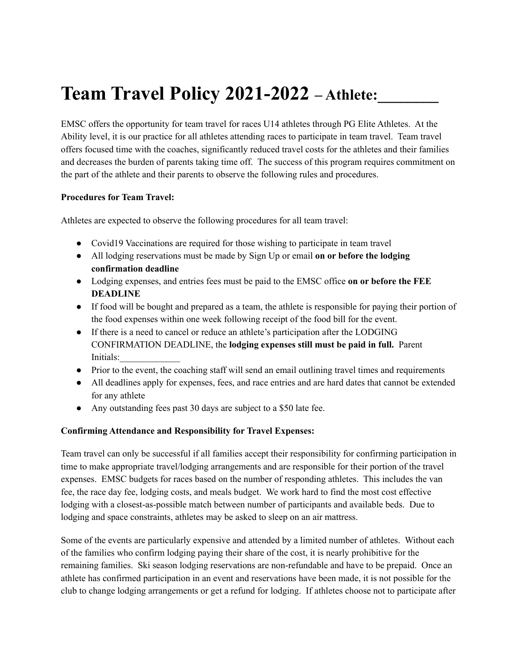# **Team Travel Policy 2021-2022** – Athlete:

EMSC offers the opportunity for team travel for races U14 athletes through PG Elite Athletes. At the Ability level, it is our practice for all athletes attending races to participate in team travel. Team travel offers focused time with the coaches, significantly reduced travel costs for the athletes and their families and decreases the burden of parents taking time off. The success of this program requires commitment on the part of the athlete and their parents to observe the following rules and procedures.

# **Procedures for Team Travel:**

Athletes are expected to observe the following procedures for all team travel:

- Covid19 Vaccinations are required for those wishing to participate in team travel
- All lodging reservations must be made by Sign Up or email **on or before the lodging confirmation deadline**
- Lodging expenses, and entries fees must be paid to the EMSC office **on or before the FEE DEADLINE**
- If food will be bought and prepared as a team, the athlete is responsible for paying their portion of the food expenses within one week following receipt of the food bill for the event.
- If there is a need to cancel or reduce an athlete's participation after the LODGING CONFIRMATION DEADLINE, the **lodging expenses still must be paid in full.** Parent Initials:
- Prior to the event, the coaching staff will send an email outlining travel times and requirements
- All deadlines apply for expenses, fees, and race entries and are hard dates that cannot be extended for any athlete
- Any outstanding fees past 30 days are subject to a \$50 late fee.

# **Confirming Attendance and Responsibility for Travel Expenses:**

Team travel can only be successful if all families accept their responsibility for confirming participation in time to make appropriate travel/lodging arrangements and are responsible for their portion of the travel expenses. EMSC budgets for races based on the number of responding athletes. This includes the van fee, the race day fee, lodging costs, and meals budget. We work hard to find the most cost effective lodging with a closest-as-possible match between number of participants and available beds. Due to lodging and space constraints, athletes may be asked to sleep on an air mattress.

Some of the events are particularly expensive and attended by a limited number of athletes. Without each of the families who confirm lodging paying their share of the cost, it is nearly prohibitive for the remaining families. Ski season lodging reservations are non-refundable and have to be prepaid. Once an athlete has confirmed participation in an event and reservations have been made, it is not possible for the club to change lodging arrangements or get a refund for lodging. If athletes choose not to participate after